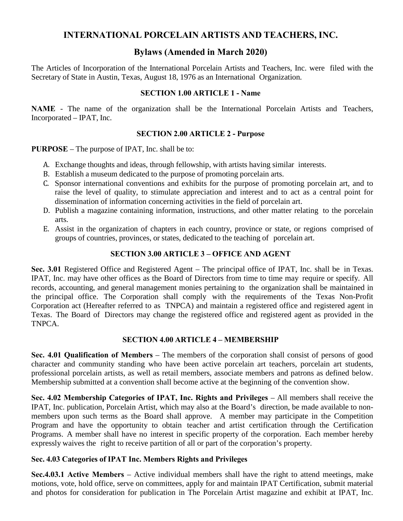# **INTERNATIONAL PORCELAIN ARTISTS AND TEACHERS, INC.**

# **Bylaws (Amended in March 2020)**

The Articles of Incorporation of the International Porcelain Artists and Teachers, Inc. were filed with the Secretary of State in Austin, Texas, August 18, 1976 as an International Organization.

#### **SECTION 1.00 ARTICLE 1 - Name**

**NAME** - The name of the organization shall be the International Porcelain Artists and Teachers, Incorporated – IPAT, Inc.

#### **SECTION 2.00 ARTICLE 2 - Purpose**

**PURPOSE** – The purpose of IPAT, Inc. shall be to:

- A. Exchange thoughts and ideas, through fellowship, with artists having similar interests.
- B. Establish a museum dedicated to the purpose of promoting porcelain arts.
- C. Sponsor international conventions and exhibits for the purpose of promoting porcelain art, and to raise the level of quality, to stimulate appreciation and interest and to act as a central point for dissemination of information concerning activities in the field of porcelain art.
- D. Publish a magazine containing information, instructions, and other matter relating to the porcelain arts.
- E. Assist in the organization of chapters in each country, province or state, or regions comprised of groups of countries, provinces, or states, dedicated to the teaching of porcelain art.

## **SECTION 3.00 ARTICLE 3 – OFFICE AND AGENT**

**Sec. 3.01** Registered Office and Registered Agent – The principal office of IPAT, Inc. shall be in Texas. IPAT, Inc. may have other offices as the Board of Directors from time to time may require or specify. All records, accounting, and general management monies pertaining to the organization shall be maintained in the principal office. The Corporation shall comply with the requirements of the Texas Non-Profit Corporation act (Hereafter referred to as TNPCA) and maintain a registered office and registered agent in Texas. The Board of Directors may change the registered office and registered agent as provided in the TNPCA.

## **SECTION 4.00 ARTICLE 4 – MEMBERSHIP**

**Sec. 4.01 Qualification of Members** – The members of the corporation shall consist of persons of good character and community standing who have been active porcelain art teachers, porcelain art students, professional porcelain artists, as well as retail members, associate members and patrons as defined below. Membership submitted at a convention shall become active at the beginning of the convention show.

**Sec. 4.02 Membership Categories of IPAT, Inc. Rights and Privileges** – All members shall receive the IPAT, Inc. publication, Porcelain Artist, which may also at the Board's direction, be made available to nonmembers upon such terms as the Board shall approve. A member may participate in the Competition Program and have the opportunity to obtain teacher and artist certification through the Certification Programs. A member shall have no interest in specific property of the corporation. Each member hereby expressly waives the right to receive partition of all or part of the corporation's property.

## **Sec. 4.03 Categories of IPAT Inc. Members Rights and Privileges**

**Sec.4.03.1 Active Members** – Active individual members shall have the right to attend meetings, make motions, vote, hold office, serve on committees, apply for and maintain IPAT Certification, submit material and photos for consideration for publication in The Porcelain Artist magazine and exhibit at IPAT, Inc.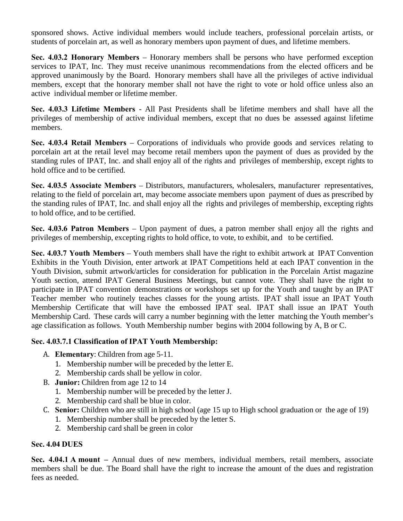sponsored shows. Active individual members would include teachers, professional porcelain artists, or students of porcelain art, as well as honorary members upon payment of dues, and lifetime members.

**Sec. 4.03.2 Honorary Members** – Honorary members shall be persons who have performed exception services to IPAT, Inc. They must receive unanimous recommendations from the elected officers and be approved unanimously by the Board. Honorary members shall have all the privileges of active individual members, except that the honorary member shall not have the right to vote or hold office unless also an active individual member or lifetime member.

**Sec. 4.03.3 Lifetime Members** - All Past Presidents shall be lifetime members and shall have all the privileges of membership of active individual members, except that no dues be assessed against lifetime members.

**Sec. 4.03.4 Retail Members** – Corporations of individuals who provide goods and services relating to porcelain art at the retail level may become retail members upon the payment of dues as provided by the standing rules of IPAT, Inc. and shall enjoy all of the rights and privileges of membership, except rights to hold office and to be certified.

**Sec. 4.03.5 Associate Members** – Distributors, manufacturers, wholesalers, manufacturer representatives, relating to the field of porcelain art, may become associate members upon payment of dues as prescribed by the standing rules of IPAT, Inc. and shall enjoy all the rights and privileges of membership, excepting rights to hold office, and to be certified.

**Sec. 4.03.6 Patron Members** – Upon payment of dues, a patron member shall enjoy all the rights and privileges of membership, excepting rights to hold office, to vote, to exhibit, and to be certified.

**Sec. 4.03.7 Youth Members** – Youth members shall have the right to exhibit artwork at IPAT Convention Exhibits in the Youth Division, enter artwork at IPAT Competitions held at each IPAT convention in the Youth Division, submit artwork/articles for consideration for publication in the Porcelain Artist magazine Youth section, attend IPAT General Business Meetings, but cannot vote. They shall have the right to participate in IPAT convention demonstrations or workshops set up for the Youth and taught by an IPAT Teacher member who routinely teaches classes for the young artists. IPAT shall issue an IPAT Youth Membership Certificate that will have the embossed IPAT seal. IPAT shall issue an IPAT Youth Membership Card. These cards will carry a number beginning with the letter matching the Youth member's age classification as follows. Youth Membership number begins with 2004 following by A, B or C.

## **Sec. 4.03.7.1 Classification of IPAT Youth Membership:**

- A. **Elementary**: Children from age 5-11.
	- 1. Membership number will be preceded by the letter E.
	- 2. Membership cards shall be yellow in color.
- B. **Junior:** Children from age 12 to 14
	- 1. Membership number will be preceded by the letter J.
	- 2. Membership card shall be blue in color.
- C. **Senior:** Children who are still in high school (age 15 up to High school graduation or the age of 19)
	- 1. Membership number shall be preceded by the letter S.
	- 2. Membership card shall be green in color

## **Sec. 4.04 DUES**

**Sec. 4.04.1 A mount –** Annual dues of new members, individual members, retail members, associate members shall be due. The Board shall have the right to increase the amount of the dues and registration fees as needed.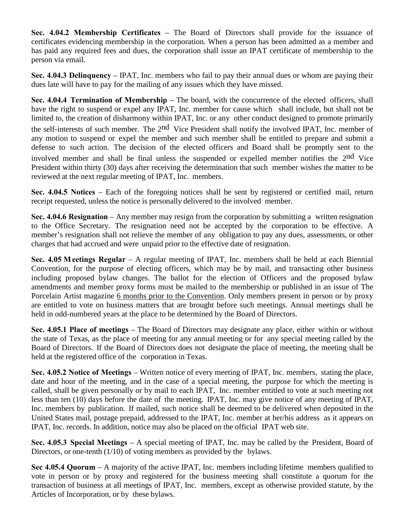**Sec. 4.04.2 Membership Certificates** – The Board of Directors shall provide for the issuance of certificates evidencing membership in the corporation. When a person has been admitted as a member and has paid any required fees and dues, the corporation shall issue an IPAT certificate of membership to the person via email.

**Sec. 4.04.3 Delinquency** – IPAT, Inc. members who fail to pay their annual dues or whom are paying their dues late will have to pay for the mailing of any issues which they have missed.

**Sec. 4.04.4 Termination of Membership** – The board, with the concurrence of the elected officers, shall have the right to suspend or expel any IPAT, Inc. member for cause which shall include, but shall not be limited to, the creation of disharmony within IPAT, Inc. or any other conduct designed to promote primarily the self-interests of such member. The 2nd Vice President shall notify the involved IPAT, Inc. member of any motion to suspend or expel the member and such member shall be entitled to prepare and submit a defense to such action. The decision of the elected officers and Board shall be promptly sent to the involved member and shall be final unless the suspended or expelled member notifies the 2nd Vice President within thirty (30) days after receiving the determination that such member wishes the matter to be reviewed at the next regular meeting of IPAT, Inc. members.

**Sec. 4.04.5 Notices** – Each of the foregoing notices shall be sent by registered or certified mail, return receipt requested, unless the notice is personally delivered to the involved member.

**Sec. 4.04.6 Resignation** – Any member may resign from the corporation by submitting a written resignation to the Office Secretary. The resignation need not be accepted by the corporation to be effective. A member's resignation shall not relieve the member of any obligation to pay any dues, assessments, or other charges that had accrued and were unpaid prior to the effective date of resignation.

**Sec. 4.05 M eetings Regular** – A regular meeting of IPAT, Inc. members shall be held at each Biennial Convention, for the purpose of electing officers, which may be by mail, and transacting other business including proposed bylaw changes. The ballot for the election of Officers and the proposed bylaw amendments and member proxy forms must be mailed to the membership or published in an issue of The Porcelain Artist magazine 6 months prior to the Convention. Only members present in person or by proxy are entitled to vote on business matters that are brought before such meetings. Annual meetings shall be held in odd-numbered years at the place to be determined by the Board of Directors.

**Sec. 4.05.1 Place of meetings** – The Board of Directors may designate any place, either within or without the state of Texas, as the place of meeting for any annual meeting or for any special meeting called by the Board of Directors. If the Board of Directors does not designate the place of meeting, the meeting shall be held at the registered office of the corporation in Texas.

**Sec. 4.05.2 Notice of Meetings** – Written notice of every meeting of IPAT, Inc. members, stating the place, date and hour of the meeting, and in the case of a special meeting, the purpose for which the meeting is called, shall be given personally or by mail to each IPAT, Inc. member entitled to vote at such meeting not less than ten (10) days before the date of the meeting. IPAT, Inc. may give notice of any meeting of IPAT, Inc. members by publication. If mailed, such notice shall be deemed to be delivered when deposited in the United States mail, postage prepaid, addressed to the IPAT, Inc. member at her/his address as it appears on IPAT, Inc. records. In addition, notice may also be placed on the official IPAT web site.

**Sec. 4.05.3 Special Meetings** – A special meeting of IPAT, Inc. may be called by the President, Board of Directors, or one-tenth (1/10) of voting members as provided by the bylaws.

**Sec 4.05.4 Quorum** – A majority of the active IPAT, Inc. members including lifetime members qualified to vote in person or by proxy and registered for the business meeting shall constitute a quorum for the transaction of business at all meetings of IPAT, Inc. members, except as otherwise provided statute, by the Articles of Incorporation, or by these bylaws.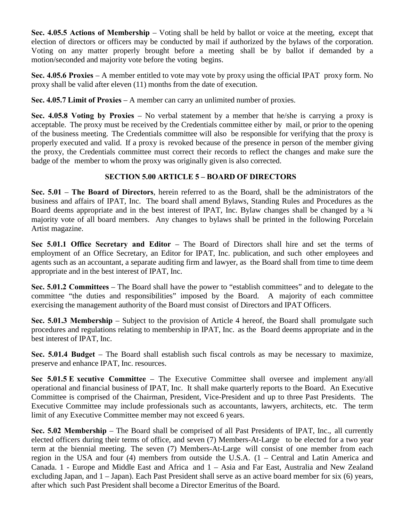**Sec. 4.05.5 Actions of Membership** – Voting shall be held by ballot or voice at the meeting, except that election of directors or officers may be conducted by mail if authorized by the bylaws of the corporation. Voting on any matter properly brought before a meeting shall be by ballot if demanded by a motion/seconded and majority vote before the voting begins.

**Sec. 4.05.6 Proxies** – A member entitled to vote may vote by proxy using the official IPAT proxy form. No proxy shall be valid after eleven (11) months from the date of execution.

**Sec. 4.05.7 Limit of Proxies** – A member can carry an unlimited number of proxies.

**Sec. 4.05.8 Voting by Proxies** – No verbal statement by a member that he/she is carrying a proxy is acceptable. The proxy must be received by the Credentials committee either by mail, or prior to the opening of the business meeting. The Credentials committee will also be responsible for verifying that the proxy is properly executed and valid. If a proxy is revoked because of the presence in person of the member giving the proxy, the Credentials committee must correct their records to reflect the changes and make sure the badge of the member to whom the proxy was originally given is also corrected.

## **SECTION 5.00 ARTICLE 5 – BOARD OF DIRECTORS**

**Sec. 5.01** – **The Board of Directors**, herein referred to as the Board, shall be the administrators of the business and affairs of IPAT, Inc. The board shall amend Bylaws, Standing Rules and Procedures as the Board deems appropriate and in the best interest of IPAT, Inc. Bylaw changes shall be changed by a  $\frac{3}{4}$ majority vote of all board members. Any changes to bylaws shall be printed in the following Porcelain Artist magazine.

**Sec 5.01.1 Office Secretary and Editor** – The Board of Directors shall hire and set the terms of employment of an Office Secretary, an Editor for IPAT, Inc. publication, and such other employees and agents such as an accountant, a separate auditing firm and lawyer, as the Board shall from time to time deem appropriate and in the best interest of IPAT, Inc.

**Sec. 5.01.2 Committees** – The Board shall have the power to "establish committees" and to delegate to the committee "the duties and responsibilities" imposed by the Board. A majority of each committee exercising the management authority of the Board must consist of Directors and IPAT Officers.

**Sec. 5.01.3 Membership** – Subject to the provision of Article 4 hereof, the Board shall promulgate such procedures and regulations relating to membership in IPAT, Inc. as the Board deems appropriate and in the best interest of IPAT, Inc.

**Sec. 5.01.4 Budget** – The Board shall establish such fiscal controls as may be necessary to maximize, preserve and enhance IPAT, Inc. resources.

**Sec 5.01.5 E xecutive Committee** – The Executive Committee shall oversee and implement any/all operational and financial business of IPAT, Inc. It shall make quarterly reports to the Board. An Executive Committee is comprised of the Chairman, President, Vice-President and up to three Past Presidents. The Executive Committee may include professionals such as accountants, lawyers, architects, etc. The term limit of any Executive Committee member may not exceed 6 years.

**Sec. 5.02 Membership** – The Board shall be comprised of all Past Presidents of IPAT, Inc., all currently elected officers during their terms of office, and seven (7) Members-At-Large to be elected for a two year term at the biennial meeting. The seven (7) Members-At-Large will consist of one member from each region in the USA and four (4) members from outside the U.S.A. (1 – Central and Latin America and Canada. 1 - Europe and Middle East and Africa and 1 – Asia and Far East, Australia and New Zealand excluding Japan, and 1 – Japan). Each Past President shall serve as an active board member for six (6) years, after which such Past President shall become a Director Emeritus of the Board.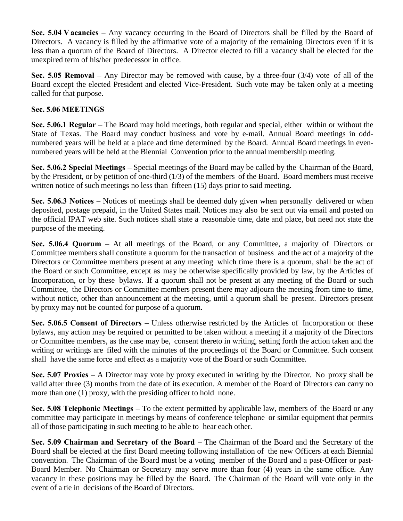**Sec. 5.04 V acancies** – Any vacancy occurring in the Board of Directors shall be filled by the Board of Directors. A vacancy is filled by the affirmative vote of a majority of the remaining Directors even if it is less than a quorum of the Board of Directors. A Director elected to fill a vacancy shall be elected for the unexpired term of his/her predecessor in office.

**Sec. 5.05 Removal** – Any Director may be removed with cause, by a three-four (3/4) vote of all of the Board except the elected President and elected Vice-President. Such vote may be taken only at a meeting called for that purpose.

## **Sec. 5.06 MEETINGS**

**Sec. 5.06.1 Regular** – The Board may hold meetings, both regular and special, either within or without the State of Texas. The Board may conduct business and vote by e-mail. Annual Board meetings in oddnumbered years will be held at a place and time determined by the Board. Annual Board meetings in evennumbered years will be held at the Biennial Convention prior to the annual membership meeting.

**Sec. 5.06.2 Special Meetings** – Special meetings of the Board may be called by the Chairman of the Board, by the President, or by petition of one-third (1/3) of the members of the Board. Board members must receive written notice of such meetings no less than fifteen (15) days prior to said meeting.

**Sec. 5.06.3 Notices** – Notices of meetings shall be deemed duly given when personally delivered or when deposited, postage prepaid, in the United States mail. Notices may also be sent out via email and posted on the official IPAT web site. Such notices shall state a reasonable time, date and place, but need not state the purpose of the meeting.

**Sec. 5.06.4 Quorum** – At all meetings of the Board, or any Committee, a majority of Directors or Committee members shall constitute a quorum for the transaction of business and the act of a majority of the Directors or Committee members present at any meeting which time there is a quorum, shall be the act of the Board or such Committee, except as may be otherwise specifically provided by law, by the Articles of Incorporation, or by these bylaws. If a quorum shall not be present at any meeting of the Board or such Committee, the Directors or Committee members present there may adjourn the meeting from time to time, without notice, other than announcement at the meeting, until a quorum shall be present. Directors present by proxy may not be counted for purpose of a quorum.

**Sec. 5.06.5 Consent of Directors** – Unless otherwise restricted by the Articles of Incorporation or these bylaws, any action may be required or permitted to be taken without a meeting if a majority of the Directors or Committee members, as the case may be, consent thereto in writing, setting forth the action taken and the writing or writings are filed with the minutes of the proceedings of the Board or Committee. Such consent shall have the same force and effect as a majority vote of the Board or such Committee.

**Sec. 5.07 Proxies** – A Director may vote by proxy executed in writing by the Director. No proxy shall be valid after three (3) months from the date of its execution. A member of the Board of Directors can carry no more than one (1) proxy, with the presiding officer to hold none.

**Sec. 5.08 Telephonic Meetings** – To the extent permitted by applicable law, members of the Board or any committee may participate in meetings by means of conference telephone or similar equipment that permits all of those participating in such meeting to be able to hear each other.

**Sec. 5.09 Chairman and Secretary of the Board** – The Chairman of the Board and the Secretary of the Board shall be elected at the first Board meeting following installation of the new Officers at each Biennial convention. The Chairman of the Board must be a voting member of the Board and a past-Officer or past-Board Member. No Chairman or Secretary may serve more than four (4) years in the same office. Any vacancy in these positions may be filled by the Board. The Chairman of the Board will vote only in the event of a tie in decisions of the Board of Directors.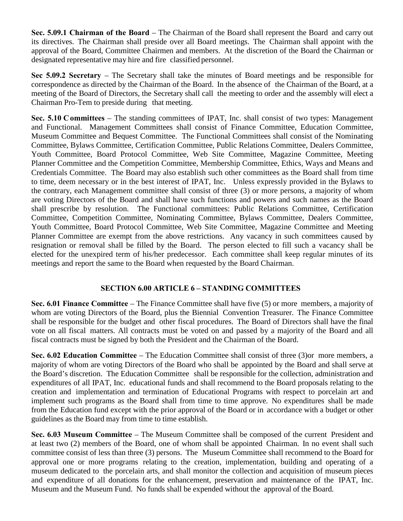**Sec. 5.09.1 Chairman of the Board** – The Chairman of the Board shall represent the Board and carry out its directives. The Chairman shall preside over all Board meetings. The Chairman shall appoint with the approval of the Board, Committee Chairmen and members. At the discretion of the Board the Chairman or designated representative may hire and fire classified personnel.

**Sec 5.09.2 Secretary** – The Secretary shall take the minutes of Board meetings and be responsible for correspondence as directed by the Chairman of the Board. In the absence of the Chairman of the Board, at a meeting of the Board of Directors, the Secretary shall call the meeting to order and the assembly will elect a Chairman Pro-Tem to preside during that meeting.

**Sec. 5.10 Committees** – The standing committees of IPAT, Inc. shall consist of two types: Management and Functional. Management Committees shall consist of Finance Committee, Education Committee, Museum Committee and Bequest Committee. The Functional Committees shall consist of the Nominating Committee, Bylaws Committee, Certification Committee, Public Relations Committee, Dealers Committee, Youth Committee, Board Protocol Committee, Web Site Committee, Magazine Committee, Meeting Planner Committee and the Competition Committee, Membership Committee, Ethics, Ways and Means and Credentials Committee. The Board may also establish such other committees as the Board shall from time to time, deem necessary or in the best interest of IPAT, Inc. Unless expressly provided in the Bylaws to the contrary, each Management committee shall consist of three (3) or more persons, a majority of whom are voting Directors of the Board and shall have such functions and powers and such names as the Board shall prescribe by resolution. The Functional committees: Public Relations Committee, Certification Committee, Competition Committee, Nominating Committee, Bylaws Committee, Dealers Committee, Youth Committee, Board Protocol Committee, Web Site Committee, Magazine Committee and Meeting Planner Committee are exempt from the above restrictions. Any vacancy in such committees caused by resignation or removal shall be filled by the Board. The person elected to fill such a vacancy shall be elected for the unexpired term of his/her predecessor. Each committee shall keep regular minutes of its meetings and report the same to the Board when requested by the Board Chairman.

## **SECTION 6.00 ARTICLE 6 – STANDING COMMITTEES**

**Sec. 6.01 Finance Committee** – The Finance Committee shall have five (5) or more members, a majority of whom are voting Directors of the Board, plus the Biennial Convention Treasurer. The Finance Committee shall be responsible for the budget and other fiscal procedures. The Board of Directors shall have the final vote on all fiscal matters. All contracts must be voted on and passed by a majority of the Board and all fiscal contracts must be signed by both the President and the Chairman of the Board.

**Sec. 6.02 Education Committee** – The Education Committee shall consist of three (3)or more members, a majority of whom are voting Directors of the Board who shall be appointed by the Board and shall serve at the Board's discretion. The Education Committee shall be responsible for the collection, administration and expenditures of all IPAT, Inc. educational funds and shall recommend to the Board proposals relating to the creation and implementation and termination of Educational Programs with respect to porcelain art and implement such programs as the Board shall from time to time approve. No expenditures shall be made from the Education fund except with the prior approval of the Board or in accordance with a budget or other guidelines as the Board may from time to time establish.

**Sec. 6.03 Museum Committee** – The Museum Committee shall be composed of the current President and at least two (2) members of the Board, one of whom shall be appointed Chairman. In no event shall such committee consist of less than three (3) persons. The Museum Committee shall recommend to the Board for approval one or more programs relating to the creation, implementation, building and operating of a museum dedicated to the porcelain arts, and shall monitor the collection and acquisition of museum pieces and expenditure of all donations for the enhancement, preservation and maintenance of the IPAT, Inc. Museum and the Museum Fund. No funds shall be expended without the approval of the Board.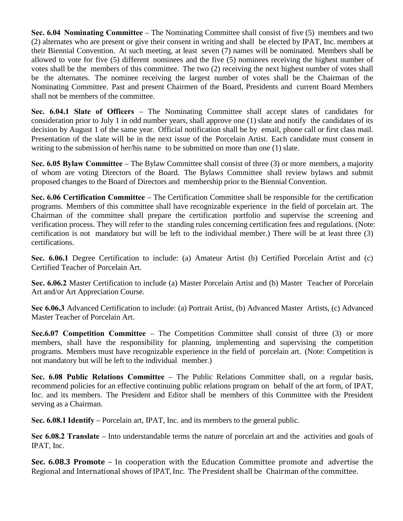**Sec. 6.04 Nominating Committee** – The Nominating Committee shall consist of five (5) members and two (2) alternates who are present or give their consent in writing and shall be elected by IPAT, Inc. members at their Biennial Convention. At such meeting, at least seven (7) names will be nominated. Members shall be allowed to vote for five (5) different nominees and the five (5) nominees receiving the highest number of votes shall be the members of this committee. The two (2) receiving the next highest number of votes shall be the alternates. The nominee receiving the largest number of votes shall be the Chairman of the Nominating Committee. Past and present Chairmen of the Board, Presidents and current Board Members shall not be members of the committee.

**Sec. 6.04.1 Slate of Officers** – The Nominating Committee shall accept slates of candidates for consideration prior to July 1 in odd number years, shall approve one (1) slate and notify the candidates of its decision by August 1 of the same year. Official notification shall be by email, phone call or first class mail. Presentation of the slate will be in the next issue of the Porcelain Artist. Each candidate must consent in writing to the submission of her/his name to be submitted on more than one (1) slate.

**Sec. 6.05 Bylaw Committee** – The Bylaw Committee shall consist of three (3) or more members, a majority of whom are voting Directors of the Board. The Bylaws Committee shall review bylaws and submit proposed changes to the Board of Directors and membership prior to the Biennial Convention.

**Sec. 6.06 Certification Committee** – The Certification Committee shall be responsible for the certification programs. Members of this committee shall have recognizable experience in the field of porcelain art. The Chairman of the committee shall prepare the certification portfolio and supervise the screening and verification process. They will refer to the standing rules concerning certification fees and regulations. (Note: certification is not mandatory but will be left to the individual member.) There will be at least three (3) certifications.

**Sec. 6.06.1** Degree Certification to include: (a) Amateur Artist (b) Certified Porcelain Artist and (c) Certified Teacher of Porcelain Art.

**Sec. 6.06.2** Master Certification to include (a) Master Porcelain Artist and (b) Master Teacher of Porcelain Art and/or Art Appreciation Course.

**Sec 6.06.3** Advanced Certification to include: (a) Portrait Artist, (b) Advanced Master Artists, (c) Advanced Master Teacher of Porcelain Art.

**Sec.6.07 Competition Committee** – The Competition Committee shall consist of three (3) or more members, shall have the responsibility for planning, implementing and supervising the competition programs. Members must have recognizable experience in the field of porcelain art. (Note: Competition is not mandatory but will be left to the individual member.)

**Sec. 6.08 Public Relations Committee** – The Public Relations Committee shall, on a regular basis, recommend policies for an effective continuing public relations program on behalf of the art form, of IPAT, Inc. and its members. The President and Editor shall be members of this Committee with the President serving as a Chairman.

**Sec. 6.08.1 Identify** – Porcelain art, IPAT, Inc. and its members to the general public.

**Sec 6.08.2 Translate** – Into understandable terms the nature of porcelain art and the activities and goals of IPAT, Inc.

**Sec. 6.08.3 Promote** – In cooperation with the Education Committee promote and advertise the Regional and International shows of IPAT, Inc. The President shall be Chairman of the committee.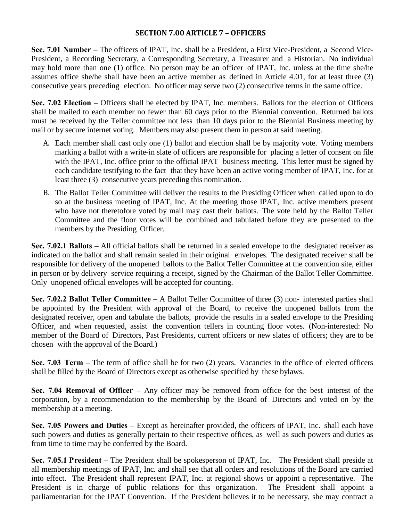#### **SECTION 7.00 ARTICLE 7 – OFFICERS**

**Sec. 7.01 Number** – The officers of IPAT, Inc. shall be a President, a First Vice-President, a Second Vice-President, a Recording Secretary, a Corresponding Secretary, a Treasurer and a Historian. No individual may hold more than one (1) office. No person may be an officer of IPAT, Inc. unless at the time she/he assumes office she/he shall have been an active member as defined in Article 4.01, for at least three (3) consecutive years preceding election. No officer may serve two (2) consecutive terms in the same office.

**Sec. 7.02 Election** – Officers shall be elected by IPAT, Inc. members. Ballots for the election of Officers shall be mailed to each member no fewer than 60 days prior to the Biennial convention. Returned ballots must be received by the Teller committee not less than 10 days prior to the Biennial Business meeting by mail or by secure internet voting. Members may also present them in person at said meeting.

- A. Each member shall cast only one (1) ballot and election shall be by majority vote. Voting members marking a ballot with a write-in slate of officers are responsible for placing a letter of consent on file with the IPAT, Inc. office prior to the official IPAT business meeting. This letter must be signed by each candidate testifying to the fact that they have been an active voting member of IPAT, Inc. for at least three (3) consecutive years preceding this nomination.
- B. The Ballot Teller Committee will deliver the results to the Presiding Officer when called upon to do so at the business meeting of IPAT, Inc. At the meeting those IPAT, Inc. active members present who have not theretofore voted by mail may cast their ballots. The vote held by the Ballot Teller Committee and the floor votes will be combined and tabulated before they are presented to the members by the Presiding Officer.

**Sec. 7.02.1 Ballots** – All official ballots shall be returned in a sealed envelope to the designated receiver as indicated on the ballot and shall remain sealed in their original envelopes. The designated receiver shall be responsible for delivery of the unopened ballots to the Ballot Teller Committee at the convention site, either in person or by delivery service requiring a receipt, signed by the Chairman of the Ballot Teller Committee. Only unopened official envelopes will be accepted for counting.

**Sec. 7.02.2 Ballot Teller Committee** – A Ballot Teller Committee of three (3) non- interested parties shall be appointed by the President with approval of the Board, to receive the unopened ballots from the designated receiver, open and tabulate the ballots, provide the results in a sealed envelope to the Presiding Officer, and when requested, assist the convention tellers in counting floor votes. (Non-interested: No member of the Board of Directors, Past Presidents, current officers or new slates of officers; they are to be chosen with the approval of the Board.)

**Sec. 7.03 Term** – The term of office shall be for two (2) years. Vacancies in the office of elected officers shall be filled by the Board of Directors except as otherwise specified by these bylaws.

**Sec. 7.04 Removal of Officer** – Any officer may be removed from office for the best interest of the corporation, by a recommendation to the membership by the Board of Directors and voted on by the membership at a meeting.

**Sec. 7.05 Powers and Duties** – Except as hereinafter provided, the officers of IPAT, Inc. shall each have such powers and duties as generally pertain to their respective offices, as well as such powers and duties as from time to time may be conferred by the Board.

**Sec. 7.05.1 President** – The President shall be spokesperson of IPAT, Inc. The President shall preside at all membership meetings of IPAT, Inc. and shall see that all orders and resolutions of the Board are carried into effect. The President shall represent IPAT, Inc. at regional shows or appoint a representative. The President is in charge of public relations for this organization. The President shall appoint a parliamentarian for the IPAT Convention. If the President believes it to be necessary, she may contract a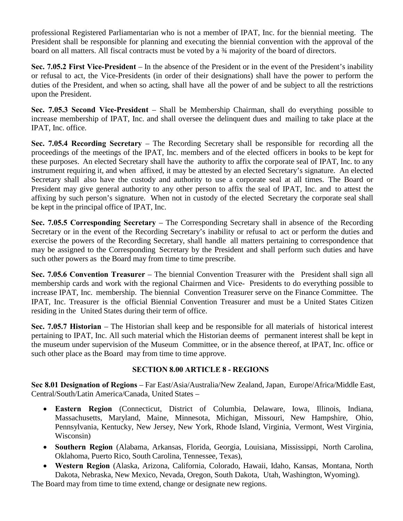professional Registered Parliamentarian who is not a member of IPAT, Inc. for the biennial meeting. The President shall be responsible for planning and executing the biennial convention with the approval of the board on all matters. All fiscal contracts must be voted by a ¾ majority of the board of directors.

**Sec. 7.05.2 First Vice-President** – In the absence of the President or in the event of the President's inability or refusal to act, the Vice-Presidents (in order of their designations) shall have the power to perform the duties of the President, and when so acting, shall have all the power of and be subject to all the restrictions upon the President.

**Sec. 7.05.3 Second Vice-President** – Shall be Membership Chairman, shall do everything possible to increase membership of IPAT, Inc. and shall oversee the delinquent dues and mailing to take place at the IPAT, Inc. office.

**Sec. 7.05.4 Recording Secretary** – The Recording Secretary shall be responsible for recording all the proceedings of the meetings of the IPAT, Inc. members and of the elected officers in books to be kept for these purposes. An elected Secretary shall have the authority to affix the corporate seal of IPAT, Inc. to any instrument requiring it, and when affixed, it may be attested by an elected Secretary's signature. An elected Secretary shall also have the custody and authority to use a corporate seal at all times. The Board or President may give general authority to any other person to affix the seal of IPAT, Inc. and to attest the affixing by such person's signature. When not in custody of the elected Secretary the corporate seal shall be kept in the principal office of IPAT, Inc.

**Sec. 7.05.5 Corresponding Secretary** – The Corresponding Secretary shall in absence of the Recording Secretary or in the event of the Recording Secretary's inability or refusal to act or perform the duties and exercise the powers of the Recording Secretary, shall handle all matters pertaining to correspondence that may be assigned to the Corresponding Secretary by the President and shall perform such duties and have such other powers as the Board may from time to time prescribe.

**Sec. 7.05.6 Convention Treasurer** – The biennial Convention Treasurer with the President shall sign all membership cards and work with the regional Chairmen and Vice- Presidents to do everything possible to increase IPAT, Inc. membership. The biennial Convention Treasurer serve on the Finance Committee. The IPAT, Inc. Treasurer is the official Biennial Convention Treasurer and must be a United States Citizen residing in the United States during their term of office.

**Sec. 7.05.7 Historian** – The Historian shall keep and be responsible for all materials of historical interest pertaining to IPAT, Inc. All such material which the Historian deems of permanent interest shall be kept in the museum under supervision of the Museum Committee, or in the absence thereof, at IPAT, Inc. office or such other place as the Board may from time to time approve.

## **SECTION 8.00 ARTICLE 8 - REGIONS**

**Sec 8.01 Designation of Regions** – Far East/Asia/Australia/New Zealand, Japan, Europe/Africa/Middle East, Central/South/Latin America/Canada, United States –

- **Eastern Region** (Connecticut, District of Columbia, Delaware, Iowa, Illinois, Indiana, Massachusetts, Maryland, Maine, Minnesota, Michigan, Missouri, New Hampshire, Ohio, Pennsylvania, Kentucky, New Jersey, New York, Rhode Island, Virginia, Vermont, West Virginia, Wisconsin)
- **Southern Region** (Alabama, Arkansas, Florida, Georgia, Louisiana, Mississippi, North Carolina, Oklahoma, Puerto Rico, South Carolina, Tennessee, Texas),
- **Western Region** (Alaska, Arizona, California, Colorado, Hawaii, Idaho, Kansas, Montana, North Dakota, Nebraska, New Mexico, Nevada, Oregon, South Dakota, Utah, Washington, Wyoming).

The Board may from time to time extend, change or designate new regions.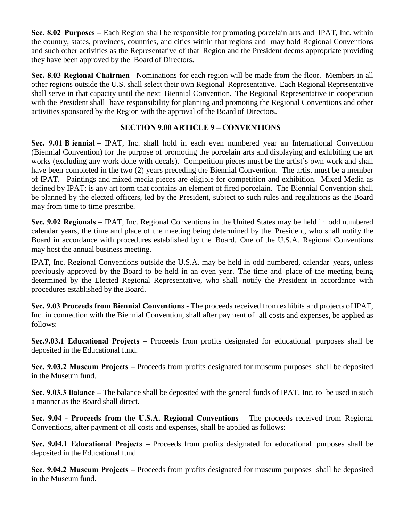**Sec. 8.02 Purposes** – Each Region shall be responsible for promoting porcelain arts and IPAT, Inc. within the country, states, provinces, countries, and cities within that regions and may hold Regional Conventions and such other activities as the Representative of that Region and the President deems appropriate providing they have been approved by the Board of Directors.

**Sec. 8.03 Regional Chairmen** –Nominations for each region will be made from the floor. Members in all other regions outside the U.S. shall select their own Regional Representative. Each Regional Representative shall serve in that capacity until the next Biennial Convention. The Regional Representative in cooperation with the President shall have responsibility for planning and promoting the Regional Conventions and other activities sponsored by the Region with the approval of the Board of Directors.

## **SECTION 9.00 ARTICLE 9 – CONVENTIONS**

**Sec. 9.01 B iennial** – IPAT, Inc. shall hold in each even numbered year an International Convention (Biennial Convention) for the purpose of promoting the porcelain arts and displaying and exhibiting the art works (excluding any work done with decals). Competition pieces must be the artist's own work and shall have been completed in the two (2) years preceding the Biennial Convention. The artist must be a member of IPAT. Paintings and mixed media pieces are eligible for competition and exhibition. Mixed Media as defined by IPAT: is any art form that contains an element of fired porcelain. The Biennial Convention shall be planned by the elected officers, led by the President, subject to such rules and regulations as the Board may from time to time prescribe.

**Sec. 9.02 Regionals** – IPAT, Inc. Regional Conventions in the United States may be held in odd numbered calendar years, the time and place of the meeting being determined by the President, who shall notify the Board in accordance with procedures established by the Board. One of the U.S.A. Regional Conventions may host the annual business meeting.

IPAT, Inc. Regional Conventions outside the U.S.A. may be held in odd numbered, calendar years, unless previously approved by the Board to be held in an even year. The time and place of the meeting being determined by the Elected Regional Representative, who shall notify the President in accordance with procedures established by the Board.

**Sec. 9.03 Proceeds from Biennial Conventions** - The proceeds received from exhibits and projects of IPAT, Inc. in connection with the Biennial Convention, shall after payment of all costs and expenses, be applied as follows:

**Sec.9.03.1 Educational Projects** – Proceeds from profits designated for educational purposes shall be deposited in the Educational fund.

**Sec. 9.03.2 Museum Projects** – Proceeds from profits designated for museum purposes shall be deposited in the Museum fund.

**Sec. 9.03.3 Balance** – The balance shall be deposited with the general funds of IPAT, Inc. to be used in such a manner as the Board shall direct.

**Sec. 9.04 - Proceeds from the U.S.A. Regional Conventions** – The proceeds received from Regional Conventions, after payment of all costs and expenses, shall be applied as follows:

**Sec. 9.04.1 Educational Projects** – Proceeds from profits designated for educational purposes shall be deposited in the Educational fund.

**Sec. 9.04.2 Museum Projects** – Proceeds from profits designated for museum purposes shall be deposited in the Museum fund.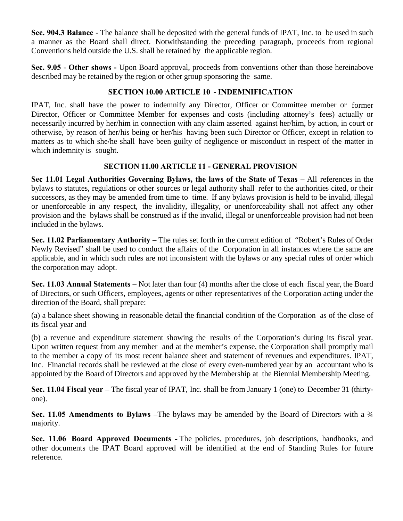**Sec. 904.3 Balance** - The balance shall be deposited with the general funds of IPAT, Inc. to be used in such a manner as the Board shall direct. Notwithstanding the preceding paragraph, proceeds from regional Conventions held outside the U.S. shall be retained by the applicable region.

**Sec. 9.05** - **Other shows -** Upon Board approval, proceeds from conventions other than those hereinabove described may be retained by the region or other group sponsoring the same.

## **SECTION 10.00 ARTICLE 10 - INDEMNIFICATION**

IPAT, Inc. shall have the power to indemnify any Director, Officer or Committee member or former Director, Officer or Committee Member for expenses and costs (including attorney's fees) actually or necessarily incurred by her/him in connection with any claim asserted against her/him, by action, in court or otherwise, by reason of her/his being or her/his having been such Director or Officer, except in relation to matters as to which she/he shall have been guilty of negligence or misconduct in respect of the matter in which indemnity is sought.

## **SECTION 11.00 ARTICLE 11 - GENERAL PROVISION**

**Sec 11.01 Legal Authorities Governing Bylaws, the laws of the State of Texas** – All references in the bylaws to statutes, regulations or other sources or legal authority shall refer to the authorities cited, or their successors, as they may be amended from time to time. If any bylaws provision is held to be invalid, illegal or unenforceable in any respect, the invalidity, illegality, or unenforceability shall not affect any other provision and the bylaws shall be construed as if the invalid, illegal or unenforceable provision had not been included in the bylaws.

**Sec. 11.02 Parliamentary Authority** – The rules set forth in the current edition of "Robert's Rules of Order Newly Revised" shall be used to conduct the affairs of the Corporation in all instances where the same are applicable, and in which such rules are not inconsistent with the bylaws or any special rules of order which the corporation may adopt.

**Sec. 11.03 Annual Statements** – Not later than four (4) months after the close of each fiscal year, the Board of Directors, or such Officers, employees, agents or other representatives of the Corporation acting under the direction of the Board, shall prepare:

(a) a balance sheet showing in reasonable detail the financial condition of the Corporation as of the close of its fiscal year and

(b) a revenue and expenditure statement showing the results of the Corporation's during its fiscal year. Upon written request from any member and at the member's expense, the Corporation shall promptly mail to the member a copy of its most recent balance sheet and statement of revenues and expenditures. IPAT, Inc. Financial records shall be reviewed at the close of every even-numbered year by an accountant who is appointed by the Board of Directors and approved by the Membership at the Biennial Membership Meeting.

**Sec. 11.04** Fiscal year – The fiscal year of IPAT, Inc. shall be from January 1 (one) to December 31 (thirtyone).

**Sec. 11.05 Amendments to Bylaws** –The bylaws may be amended by the Board of Directors with a ¾ majority.

**Sec. 11.06 Board Approved Documents -** The policies, procedures, job descriptions, handbooks, and other documents the IPAT Board approved will be identified at the end of Standing Rules for future reference.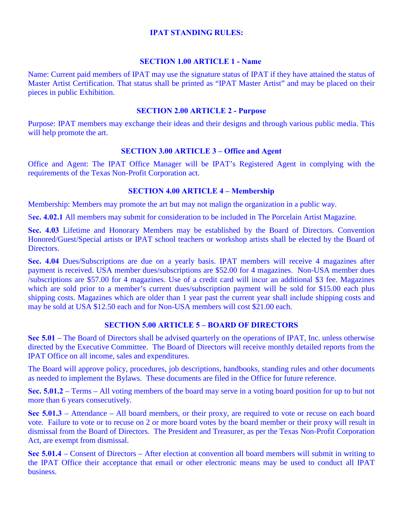#### **IPAT STANDING RULES:**

#### **SECTION 1.00 ARTICLE 1 - Name**

Name: Current paid members of IPAT may use the signature status of IPAT if they have attained the status of Master Artist Certification. That status shall be printed as "IPAT Master Artist" and may be placed on their pieces in public Exhibition.

#### **SECTION 2.00 ARTICLE 2 - Purpose**

Purpose: IPAT members may exchange their ideas and their designs and through various public media. This will help promote the art.

#### **SECTION 3.00 ARTICLE 3 – Office and Agent**

Office and Agent: The IPAT Office Manager will be IPAT's Registered Agent in complying with the requirements of the Texas Non-Profit Corporation act.

#### **SECTION 4.00 ARTICLE 4 – Membership**

Membership: Members may promote the art but may not malign the organization in a public way.

S**ec. 4.02.1** All members may submit for consideration to be included in The Porcelain Artist Magazine.

**Sec. 4.03** Lifetime and Honorary Members may be established by the Board of Directors. Convention Honored/Guest/Special artists or IPAT school teachers or workshop artists shall be elected by the Board of **Directors** 

**Sec. 4.04** Dues/Subscriptions are due on a yearly basis. IPAT members will receive 4 magazines after payment is received. USA member dues/subscriptions are \$52.00 for 4 magazines. Non-USA member dues /subscriptions are \$57.00 for 4 magazines. Use of a credit card will incur an additional \$3 fee. Magazines which are sold prior to a member's current dues/subscription payment will be sold for \$15.00 each plus shipping costs. Magazines which are older than 1 year past the current year shall include shipping costs and may be sold at USA \$12.50 each and for Non-USA members will cost \$21.00 each.

#### **SECTION 5.00 ARTICLE 5 – BOARD OF DIRECTORS**

**Sec 5.01** – The Board of Directors shall be advised quarterly on the operations of IPAT, Inc. unless otherwise directed by the Executive Committee. The Board of Directors will receive monthly detailed reports from the IPAT Office on all income, sales and expenditures.

The Board will approve policy, procedures, job descriptions, handbooks, standing rules and other documents as needed to implement the Bylaws. These documents are filed in the Office for future reference.

**Sec. 5.01.2** – Terms – All voting members of the board may serve in a voting board position for up to but not more than 6 years consecutively.

**Sec 5.01.3** – Attendance – All board members, or their proxy, are required to vote or recuse on each board vote. Failure to vote or to recuse on 2 or more board votes by the board member or their proxy will result in dismissal from the Board of Directors. The President and Treasurer, as per the Texas Non-Profit Corporation Act, are exempt from dismissal.

**Sec 5.01.4** – Consent of Directors – After election at convention all board members will submit in writing to the IPAT Office their acceptance that email or other electronic means may be used to conduct all IPAT business.